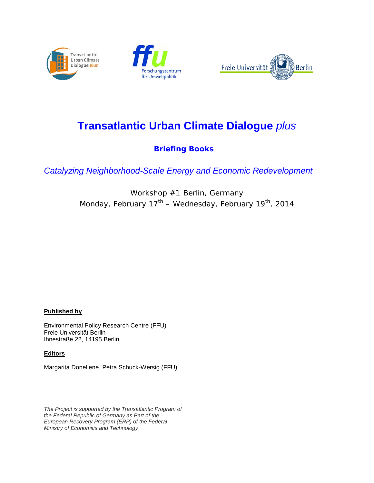





# **Transatlantic Urban Climate Dialogue** *plus*

# **Briefing Books**

*Catalyzing Neighborhood-Scale Energy and Economic Redevelopment*

Workshop #1 Berlin, Germany Monday, February  $17<sup>th</sup>$  – Wednesday, February 19<sup>th</sup>, 2014

#### **Published by**

Environmental Policy Research Centre (FFU) Freie Universität Berlin Ihnestraße 22, 14195 Berlin

#### **Editors**

Margarita Doneliene, Petra Schuck-Wersig (FFU)

*The Project is supported by the Transatlantic Program of the Federal Republic of Germany as Part of the European Recovery Program (ERP) of the Federal Ministry of Economics and Technology*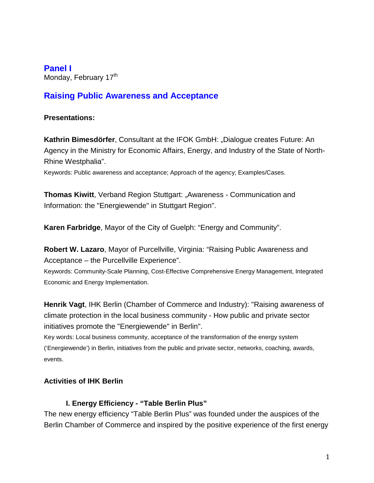**Panel I**

Monday, February 17<sup>th</sup>

# **Raising Public Awareness and Acceptance**

### **Presentations:**

**Kathrin Bimesdörfer, Consultant at the IFOK GmbH: "Dialogue creates Future: An** Agency in the Ministry for Economic Affairs, Energy, and Industry of the State of North-Rhine Westphalia".

Keywords: Public awareness and acceptance; Approach of the agency; Examples/Cases.

**Thomas Kiwitt**, Verband Region Stuttgart: "Awareness - Communication and Information: the "Energiewende" in Stuttgart Region".

**Karen Farbridge**, Mayor of the City of Guelph: "Energy and Community".

**Robert W. Lazaro**, Mayor of Purcellville, Virginia: "Raising Public Awareness and Acceptance – the Purcellville Experience".

Keywords: Community-Scale Planning, Cost-Effective Comprehensive Energy Management, Integrated Economic and Energy Implementation.

**Henrik Vagt**, IHK Berlin (Chamber of Commerce and Industry): "Raising awareness of climate protection in the local business community - How public and private sector initiatives promote the "Energiewende" in Berlin".

Key words: Local business community, acceptance of the transformation of the energy system ('Energiewende') in Berlin, initiatives from the public and private sector, networks, coaching, awards, events.

### **Activities of IHK Berlin**

### **I. Energy Efficiency - "Table Berlin Plus"**

The new energy efficiency "Table Berlin Plus" was founded under the auspices of the Berlin Chamber of Commerce and inspired by the positive experience of the first energy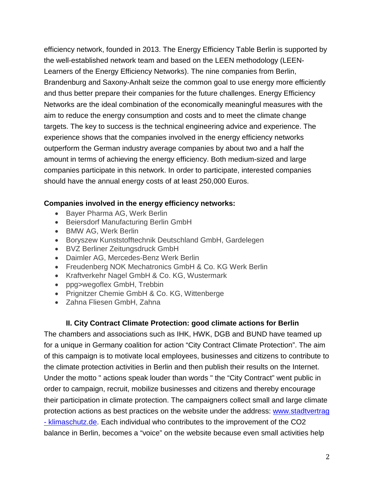efficiency network, founded in 2013. The Energy Efficiency Table Berlin is supported by the well-established network team and based on the LEEN methodology (LEEN-Learners of the Energy Efficiency Networks). The nine companies from Berlin, Brandenburg and Saxony-Anhalt seize the common goal to use energy more efficiently and thus better prepare their companies for the future challenges. Energy Efficiency Networks are the ideal combination of the economically meaningful measures with the aim to reduce the energy consumption and costs and to meet the climate change targets. The key to success is the technical engineering advice and experience. The experience shows that the companies involved in the energy efficiency networks outperform the German industry average companies by about two and a half the amount in terms of achieving the energy efficiency. Both medium-sized and large companies participate in this network. In order to participate, interested companies should have the annual energy costs of at least 250,000 Euros.

### **Companies involved in the energy efficiency networks:**

- Bayer Pharma AG, Werk Berlin
- Beiersdorf Manufacturing Berlin GmbH
- BMW AG, Werk Berlin
- Boryszew Kunststofftechnik Deutschland GmbH, Gardelegen
- BVZ Berliner Zeitungsdruck GmbH
- Daimler AG, Mercedes-Benz Werk Berlin
- Freudenberg NOK Mechatronics GmbH & Co. KG Werk Berlin
- Kraftverkehr Nagel GmbH & Co. KG, Wustermark
- ppg>wegoflex GmbH, Trebbin
- Prignitzer Chemie GmbH & Co. KG, Wittenberge
- Zahna Fliesen GmbH, Zahna

### **II. City Contract Climate Protection: good climate actions for Berlin**

The chambers and associations such as IHK, HWK, DGB and BUND have teamed up for a unique in Germany coalition for action "City Contract Climate Protection". The aim of this campaign is to motivate local employees, businesses and citizens to contribute to the climate protection activities in Berlin and then publish their results on the Internet. Under the motto " actions speak louder than words " the "City Contract" went public in order to campaign, recruit, mobilize businesses and citizens and thereby encourage their participation in climate protection. The campaigners collect small and large climate protection actions as best practices on the website under the address: www.stadtvertrag - klimaschutz.de. Each individual who contributes to the improvement of the CO2 balance in Berlin, becomes a "voice" on the website because even small activities help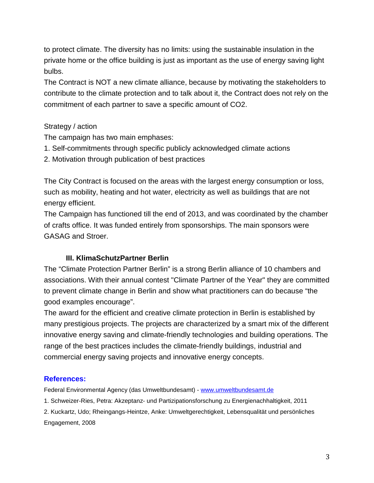to protect climate. The diversity has no limits: using the sustainable insulation in the private home or the office building is just as important as the use of energy saving light bulbs.

The Contract is NOT a new climate alliance, because by motivating the stakeholders to contribute to the climate protection and to talk about it, the Contract does not rely on the commitment of each partner to save a specific amount of CO2.

#### Strategy / action

The campaign has two main emphases:

- 1. Self-commitments through specific publicly acknowledged climate actions
- 2. Motivation through publication of best practices

The City Contract is focused on the areas with the largest energy consumption or loss, such as mobility, heating and hot water, electricity as well as buildings that are not energy efficient.

The Campaign has functioned till the end of 2013, and was coordinated by the chamber of crafts office. It was funded entirely from sponsorships. The main sponsors were GASAG and Stroer.

#### **III. KlimaSchutzPartner Berlin**

The "Climate Protection Partner Berlin" is a strong Berlin alliance of 10 chambers and associations. With their annual contest "Climate Partner of the Year" they are committed to prevent climate change in Berlin and show what practitioners can do because "the good examples encourage".

The award for the efficient and creative climate protection in Berlin is established by many prestigious projects. The projects are characterized by a smart mix of the different innovative energy saving and climate-friendly technologies and building operations. The range of the best practices includes the climate-friendly buildings, industrial and commercial energy saving projects and innovative energy concepts.

#### **References:**

Federal Environmental Agency (das Umweltbundesamt) - [www.umweltbundesamt.de](http://www.umweltbundesamt.de/)

1. Schweizer-Ries, Petra: Akzeptanz- und Partizipationsforschung zu Energienachhaltigkeit, 2011

2. Kuckartz, Udo; Rheingangs-Heintze, Anke: Umweltgerechtigkeit, Lebensqualität und persönliches Engagement, 2008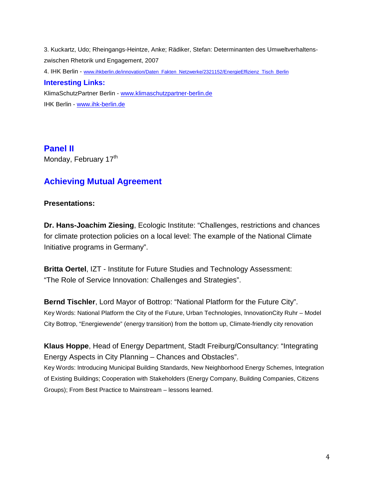3. Kuckartz, Udo; Rheingangs-Heintze, Anke; Rädiker, Stefan: Determinanten des Umweltverhaltenszwischen Rhetorik und Engagement, 2007 4. IHK Berlin - [www.ihkberlin.de/innovation/Daten\\_Fakten\\_Netzwerke/2321152/EnergieEffizienz\\_Tisch\\_Berlin](http://www.ihkberlin.de/innovation/Daten_Fakten_Netzwerke/2321152/EnergieEffizienz_Tisch_Berlin) **Interesting Links:**  KlimaSchutzPartner Berlin - [www.klimaschutzpartner-berlin.de](http://www.klimaschutzpartner-berlin.de/) IHK Berlin - [www.ihk-berlin.de](http://www.ihk-berlin.de/)

**Panel II** Monday, February 17<sup>th</sup>

# **Achieving Mutual Agreement**

### **Presentations:**

**Dr. Hans-Joachim Ziesing**, Ecologic Institute: "Challenges, restrictions and chances for climate protection policies on a local level: The example of the National Climate Initiative programs in Germany".

**Britta Oertel**, IZT - Institute for Future Studies and Technology Assessment: "The Role of Service Innovation: Challenges and Strategies".

**Bernd Tischler**, Lord Mayor of Bottrop: "National Platform for the Future City". Key Words: National Platform the City of the Future, Urban Technologies, InnovationCity Ruhr – Model City Bottrop, "Energiewende" (energy transition) from the bottom up, Climate-friendly city renovation

**Klaus Hoppe**, Head of Energy Department, Stadt Freiburg/Consultancy: "Integrating Energy Aspects in City Planning – Chances and Obstacles". Key Words: Introducing Municipal Building Standards, New Neighborhood Energy Schemes, Integration of Existing Buildings; Cooperation with Stakeholders (Energy Company, Building Companies, Citizens Groups); From Best Practice to Mainstream – lessons learned.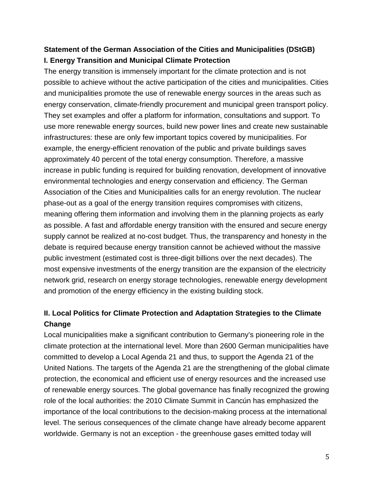# **Statement of the German Association of the Cities and Municipalities (DStGB) I. Energy Transition and Municipal Climate Protection**

The energy transition is immensely important for the climate protection and is not possible to achieve without the active participation of the cities and municipalities. Cities and municipalities promote the use of renewable energy sources in the areas such as energy conservation, climate-friendly procurement and municipal green transport policy. They set examples and offer a platform for information, consultations and support. To use more renewable energy sources, build new power lines and create new sustainable infrastructures: these are only few important topics covered by municipalities. For example, the energy-efficient renovation of the public and private buildings saves approximately 40 percent of the total energy consumption. Therefore, a massive increase in public funding is required for building renovation, development of innovative environmental technologies and energy conservation and efficiency. The German Association of the Cities and Municipalities calls for an energy revolution. The nuclear phase-out as a goal of the energy transition requires compromises with citizens, meaning offering them information and involving them in the planning projects as early as possible. A fast and affordable energy transition with the ensured and secure energy supply cannot be realized at no-cost budget. Thus, the transparency and honesty in the debate is required because energy transition cannot be achieved without the massive public investment (estimated cost is three-digit billions over the next decades). The most expensive investments of the energy transition are the expansion of the electricity network grid, research on energy storage technologies, renewable energy development and promotion of the energy efficiency in the existing building stock.

## **II. Local Politics for Climate Protection and Adaptation Strategies to the Climate Change**

Local municipalities make a significant contribution to Germany's pioneering role in the climate protection at the international level. More than 2600 German municipalities have committed to develop a Local Agenda 21 and thus, to support the Agenda 21 of the United Nations. The targets of the Agenda 21 are the strengthening of the global climate protection, the economical and efficient use of energy resources and the increased use of renewable energy sources. The global governance has finally recognized the growing role of the local authorities: the 2010 Climate Summit in Cancún has emphasized the importance of the local contributions to the decision-making process at the international level. The serious consequences of the climate change have already become apparent worldwide. Germany is not an exception - the greenhouse gases emitted today will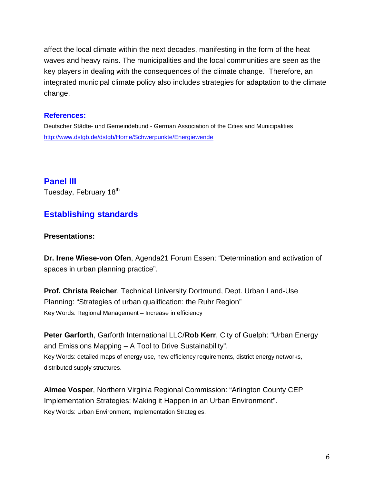affect the local climate within the next decades, manifesting in the form of the heat waves and heavy rains. The municipalities and the local communities are seen as the key players in dealing with the consequences of the climate change. Therefore, an integrated municipal climate policy also includes strategies for adaptation to the climate change.

#### **References:**

Deutscher Städte- und Gemeindebund - German Association of the Cities and Municipalities <http://www.dstgb.de/dstgb/Home/Schwerpunkte/Energiewende>

### **Panel III**

Tuesday, February 18<sup>th</sup>

### **Establishing standards**

#### **Presentations:**

**Dr. Irene Wiese-von Ofen**, Agenda21 Forum Essen: "Determination and activation of spaces in urban planning practice".

**Prof. Christa Reicher**, Technical University Dortmund, Dept. Urban Land-Use Planning: "Strategies of urban qualification: the Ruhr Region" Key Words: Regional Management – Increase in efficiency

**Peter Garforth**, Garforth International LLC/**Rob Kerr**, City of Guelph: "Urban Energy and Emissions Mapping – A Tool to Drive Sustainability". Key Words: detailed maps of energy use, new efficiency requirements, district energy networks, distributed supply structures.

**Aimee Vosper**, Northern Virginia Regional Commission: "Arlington County CEP Implementation Strategies: Making it Happen in an Urban Environment". Key Words: Urban Environment, Implementation Strategies.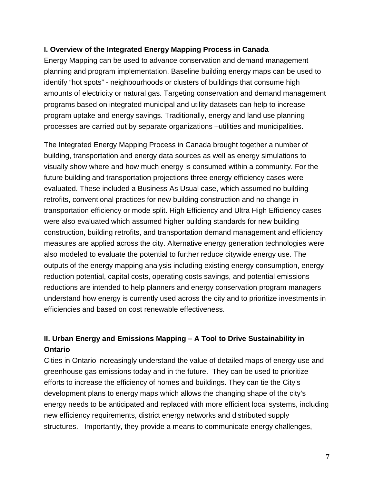### **I. Overview of the Integrated Energy Mapping Process in Canada**

Energy Mapping can be used to advance conservation and demand management planning and program implementation. Baseline building energy maps can be used to identify "hot spots" - neighbourhoods or clusters of buildings that consume high amounts of electricity or natural gas. Targeting conservation and demand management programs based on integrated municipal and utility datasets can help to increase program uptake and energy savings. Traditionally, energy and land use planning processes are carried out by separate organizations –utilities and municipalities.

The Integrated Energy Mapping Process in Canada brought together a number of building, transportation and energy data sources as well as energy simulations to visually show where and how much energy is consumed within a community. For the future building and transportation projections three energy efficiency cases were evaluated. These included a Business As Usual case, which assumed no building retrofits, conventional practices for new building construction and no change in transportation efficiency or mode split. High Efficiency and Ultra High Efficiency cases were also evaluated which assumed higher building standards for new building construction, building retrofits, and transportation demand management and efficiency measures are applied across the city. Alternative energy generation technologies were also modeled to evaluate the potential to further reduce citywide energy use. The outputs of the energy mapping analysis including existing energy consumption, energy reduction potential, capital costs, operating costs savings, and potential emissions reductions are intended to help planners and energy conservation program managers understand how energy is currently used across the city and to prioritize investments in efficiencies and based on cost renewable effectiveness.

# **II. Urban Energy and Emissions Mapping – A Tool to Drive Sustainability in Ontario**

Cities in Ontario increasingly understand the value of detailed maps of energy use and greenhouse gas emissions today and in the future. They can be used to prioritize efforts to increase the efficiency of homes and buildings. They can tie the City's development plans to energy maps which allows the changing shape of the city's energy needs to be anticipated and replaced with more efficient local systems, including new efficiency requirements, district energy networks and distributed supply structures. Importantly, they provide a means to communicate energy challenges,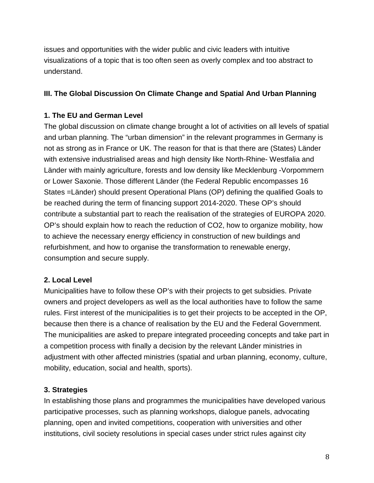issues and opportunities with the wider public and civic leaders with intuitive visualizations of a topic that is too often seen as overly complex and too abstract to understand.

### **III. The Global Discussion On Climate Change and Spatial And Urban Planning**

### **1. The EU and German Level**

The global discussion on climate change brought a lot of activities on all levels of spatial and urban planning. The "urban dimension" in the relevant programmes in Germany is not as strong as in France or UK. The reason for that is that there are (States) Länder with extensive industrialised areas and high density like North-Rhine- Westfalia and Länder with mainly agriculture, forests and low density like Mecklenburg -Vorpommern or Lower Saxonie. Those different Länder (the Federal Republic encompasses 16 States =Länder) should present Operational Plans (OP) defining the qualified Goals to be reached during the term of financing support 2014-2020. These OP's should contribute a substantial part to reach the realisation of the strategies of EUROPA 2020. OP's should explain how to reach the reduction of CO2, how to organize mobility, how to achieve the necessary energy efficiency in construction of new buildings and refurbishment, and how to organise the transformation to renewable energy, consumption and secure supply.

### **2. Local Level**

Municipalities have to follow these OP's with their projects to get subsidies. Private owners and project developers as well as the local authorities have to follow the same rules. First interest of the municipalities is to get their projects to be accepted in the OP, because then there is a chance of realisation by the EU and the Federal Government. The municipalities are asked to prepare integrated proceeding concepts and take part in a competition process with finally a decision by the relevant Länder ministries in adjustment with other affected ministries (spatial and urban planning, economy, culture, mobility, education, social and health, sports).

### **3. Strategies**

In establishing those plans and programmes the municipalities have developed various participative processes, such as planning workshops, dialogue panels, advocating planning, open and invited competitions, cooperation with universities and other institutions, civil society resolutions in special cases under strict rules against city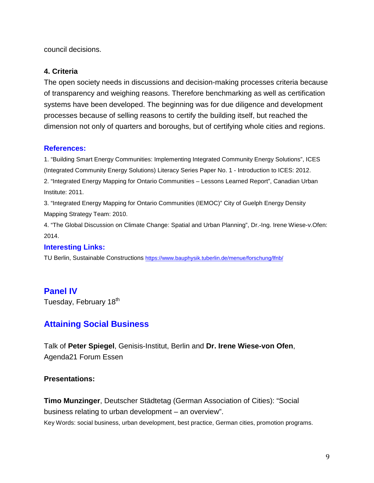council decisions.

### **4. Criteria**

The open society needs in discussions and decision-making processes criteria because of transparency and weighing reasons. Therefore benchmarking as well as certification systems have been developed. The beginning was for due diligence and development processes because of selling reasons to certify the building itself, but reached the dimension not only of quarters and boroughs, but of certifying whole cities and regions.

### **References:**

1. "Building Smart Energy Communities: Implementing Integrated Community Energy Solutions", ICES (Integrated Community Energy Solutions) Literacy Series Paper No. 1 - Introduction to ICES: 2012. 2. "Integrated Energy Mapping for Ontario Communities – Lessons Learned Report", Canadian Urban Institute: 2011.

3. "Integrated Energy Mapping for Ontario Communities (IEMOC)" City of Guelph Energy Density Mapping Strategy Team: 2010.

4. "The Global Discussion on Climate Change: Spatial and Urban Planning", Dr.-Ing. Irene Wiese-v.Ofen: 2014.

### **Interesting Links:**

TU Berlin, Sustainable Constructions<https://www.bauphysik.tuberlin.de/menue/forschung/lfnb/>

### **Panel IV**

Tuesday, February 18<sup>th</sup>

### **Attaining Social Business**

Talk of **Peter Spiegel**, Genisis-Institut, Berlin and **Dr. Irene Wiese-von Ofen**, Agenda21 Forum Essen

### **Presentations:**

**Timo Munzinger**, Deutscher Städtetag (German Association of Cities): "Social business relating to urban development – an overview". Key Words: social business, urban development, best practice, German cities, promotion programs.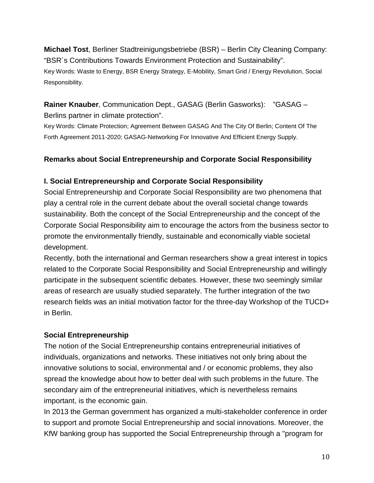**Michael Tost**, Berliner Stadtreinigungsbetriebe (BSR) – Berlin City Cleaning Company: "BSR´s Contributions Towards Environment Protection and Sustainability". Key Words: Waste to Energy, BSR Energy Strategy, E-Mobility, Smart Grid / Energy Revolution, Social Responsibility.

### **Rainer Knauber**, Communication Dept., GASAG (Berlin Gasworks): "GASAG – Berlins partner in climate protection".

Key Words: Climate Protection; Agreement Between GASAG And The City Of Berlin; Content Of The Forth Agreement 2011-2020; GASAG-Networking For Innovative And Efficient Energy Supply.

### **Remarks about Social Entrepreneurship and Corporate Social Responsibility**

### **I. Social Entrepreneurship and Corporate Social Responsibility**

Social Entrepreneurship and Corporate Social Responsibility are two phenomena that play a central role in the current debate about the overall societal change towards sustainability. Both the concept of the Social Entrepreneurship and the concept of the Corporate Social Responsibility aim to encourage the actors from the business sector to promote the environmentally friendly, sustainable and economically viable societal development.

Recently, both the international and German researchers show a great interest in topics related to the Corporate Social Responsibility and Social Entrepreneurship and willingly participate in the subsequent scientific debates. However, these two seemingly similar areas of research are usually studied separately. The further integration of the two research fields was an initial motivation factor for the three-day Workshop of the TUCD+ in Berlin.

### **Social Entrepreneurship**

The notion of the Social Entrepreneurship contains entrepreneurial initiatives of individuals, organizations and networks. These initiatives not only bring about the innovative solutions to social, environmental and / or economic problems, they also spread the knowledge about how to better deal with such problems in the future. The secondary aim of the entrepreneurial initiatives, which is nevertheless remains important, is the economic gain.

In 2013 the German government has organized a multi-stakeholder conference in order to support and promote Social Entrepreneurship and social innovations. Moreover, the KfW banking group has supported the Social Entrepreneurship through a "program for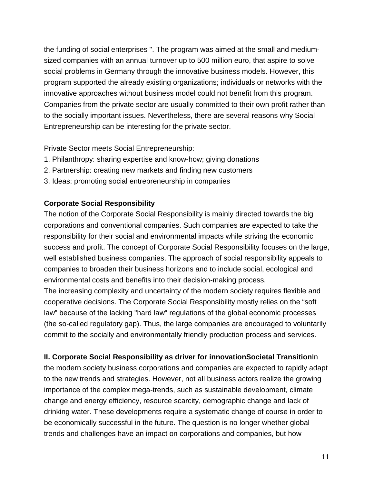the funding of social enterprises ". The program was aimed at the small and mediumsized companies with an annual turnover up to 500 million euro, that aspire to solve social problems in Germany through the innovative business models. However, this program supported the already existing organizations; individuals or networks with the innovative approaches without business model could not benefit from this program. Companies from the private sector are usually committed to their own profit rather than to the socially important issues. Nevertheless, there are several reasons why Social Entrepreneurship can be interesting for the private sector.

Private Sector meets Social Entrepreneurship:

- 1. Philanthropy: sharing expertise and know-how; giving donations
- 2. Partnership: creating new markets and finding new customers
- 3. Ideas: promoting social entrepreneurship in companies

#### **Corporate Social Responsibility**

The notion of the Corporate Social Responsibility is mainly directed towards the big corporations and conventional companies. Such companies are expected to take the responsibility for their social and environmental impacts while striving the economic success and profit. The concept of Corporate Social Responsibility focuses on the large, well established business companies. The approach of social responsibility appeals to companies to broaden their business horizons and to include social, ecological and environmental costs and benefits into their decision-making process.

The increasing complexity and uncertainty of the modern society requires flexible and cooperative decisions. The Corporate Social Responsibility mostly relies on the "soft law" because of the lacking "hard law" regulations of the global economic processes (the so-called regulatory gap). Thus, the large companies are encouraged to voluntarily commit to the socially and environmentally friendly production process and services.

### **II. Corporate Social Responsibility as driver for innovationSocietal Transition**In

the modern society business corporations and companies are expected to rapidly adapt to the new trends and strategies. However, not all business actors realize the growing importance of the complex mega-trends, such as sustainable development, climate change and energy efficiency, resource scarcity, demographic change and lack of drinking water. These developments require a systematic change of course in order to be economically successful in the future. The question is no longer whether global trends and challenges have an impact on corporations and companies, but how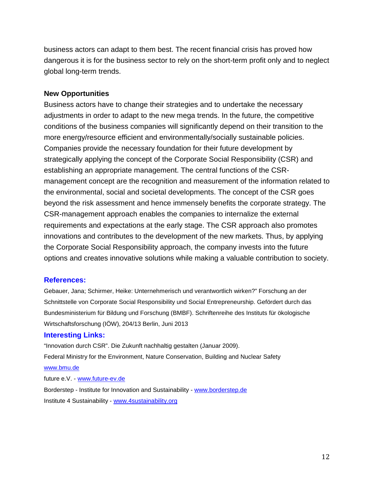business actors can adapt to them best. The recent financial crisis has proved how dangerous it is for the business sector to rely on the short-term profit only and to neglect global long-term trends.

#### **New Opportunities**

Business actors have to change their strategies and to undertake the necessary adjustments in order to adapt to the new mega trends. In the future, the competitive conditions of the business companies will significantly depend on their transition to the more energy/resource efficient and environmentally/socially sustainable policies. Companies provide the necessary foundation for their future development by strategically applying the concept of the Corporate Social Responsibility (CSR) and establishing an appropriate management. The central functions of the CSRmanagement concept are the recognition and measurement of the information related to the environmental, social and societal developments. The concept of the CSR goes beyond the risk assessment and hence immensely benefits the corporate strategy. The CSR-management approach enables the companies to internalize the external requirements and expectations at the early stage. The CSR approach also promotes innovations and contributes to the development of the new markets. Thus, by applying the Corporate Social Responsibility approach, the company invests into the future options and creates innovative solutions while making a valuable contribution to society.

#### **References:**

Gebauer, Jana; Schirmer, Heike: Unternehmerisch und verantwortlich wirken?" Forschung an der Schnittstelle von Corporate Social Responsibility und Social Entrepreneurship. Gefördert durch das Bundesministerium für Bildung und Forschung (BMBF). Schriftenreihe des Instituts für ökologische Wirtschaftsforschung (IÖW), 204/13 Berlin, Juni 2013

#### **Interesting Links:**

"Innovation durch CSR". Die Zukunft nachhaltig gestalten (Januar 2009). Federal Ministry for the Environment, Nature Conservation, Building and Nuclear Safety [www.bmu.de](http://www.bmu.de/) future e.V. - [www.future-ev.de](http://www.future-ev.de/) Borderstep - Institute for Innovation and Sustainability - [www.borderstep.de](http://www.borderstep.de/) Institute 4 Sustainability - [www.4sustainability.org](http://www.4sustainability.org/)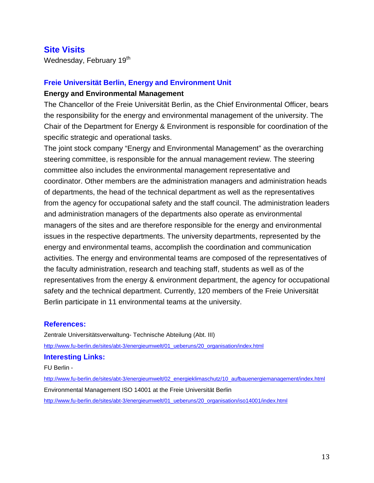### **Site Visits**

Wednesday, February 19<sup>th</sup>

#### **Freie Universität Berlin, Energy and Environment Unit**

#### **Energy and Environmental Management**

The Chancellor of the Freie Universität Berlin, as the Chief Environmental Officer, bears the responsibility for the energy and environmental management of the university. The Chair of the Department for Energy & Environment is responsible for coordination of the specific strategic and operational tasks.

The joint stock company "Energy and Environmental Management" as the overarching steering committee, is responsible for the annual management review. The steering committee also includes the environmental management representative and coordinator. Other members are the administration managers and administration heads of departments, the head of the technical department as well as the representatives from the agency for occupational safety and the staff council. The administration leaders and administration managers of the departments also operate as environmental managers of the sites and are therefore responsible for the energy and environmental issues in the respective departments. The university departments, represented by the energy and environmental teams, accomplish the coordination and communication activities. The energy and environmental teams are composed of the representatives of the faculty administration, research and teaching staff, students as well as of the representatives from the energy & environment department, the agency for occupational safety and the technical department. Currently, 120 members of the Freie Universität Berlin participate in 11 environmental teams at the university.

#### **References:**

Zentrale Universitätsverwaltung- Technische Abteilung (Abt. III) [http://www.fu-berlin.de/sites/abt-3/energieumwelt/01\\_ueberuns/20\\_organisation/index.html](http://www.fu-berlin.de/sites/abt-3/energieumwelt/01_ueberuns/20_organisation/index.html)

#### **Interesting Links:**

FU Berlin -

[http://www.fu-berlin.de/sites/abt-3/energieumwelt/02\\_energieklimaschutz/10\\_aufbauenergiemanagement/index.html](http://www.fu-berlin.de/sites/abt-3/energieumwelt/02_energieklimaschutz/10_aufbauenergiemanagement/index.html) Environmental Management ISO 14001 at the Freie Universität Berlin [http://www.fu-berlin.de/sites/abt-3/energieumwelt/01\\_ueberuns/20\\_organisation/iso14001/index.html](http://www.fu-berlin.de/sites/abt-3/energieumwelt/01_ueberuns/20_organisation/iso14001/index.html)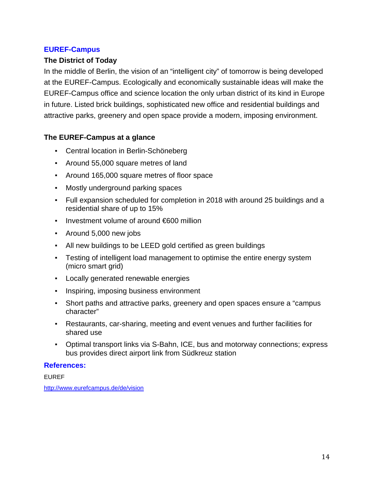### **EUREF-Campus**

### **The District of Today**

In the middle of Berlin, the vision of an "intelligent city" of tomorrow is being developed at the EUREF-Campus. Ecologically and economically sustainable ideas will make the EUREF-Campus office and science location the only urban district of its kind in Europe in future. Listed brick buildings, sophisticated new office and residential buildings and attractive parks, greenery and open space provide a modern, imposing environment.

### **The EUREF-Campus at a glance**

- Central location in Berlin-Schöneberg
- Around 55,000 square metres of land
- Around 165,000 square metres of floor space
- Mostly underground parking spaces
- Full expansion scheduled for completion in 2018 with around 25 buildings and a residential share of up to 15%
- Investment volume of around €600 million
- Around 5,000 new jobs
- All new buildings to be LEED gold certified as green buildings
- Testing of intelligent load management to optimise the entire energy system (micro smart grid)
- Locally generated renewable energies
- **Inspiring, imposing business environment**
- Short paths and attractive parks, greenery and open spaces ensure a "campus" character"
- Restaurants, car-sharing, meeting and event venues and further facilities for shared use
- Optimal transport links via S-Bahn, ICE, bus and motorway connections; express bus provides direct airport link from Südkreuz station

### **References:**

EUREF

<http://www.eurefcampus.de/de/vision>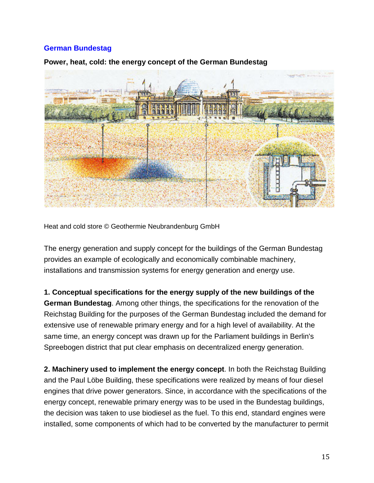### **German Bundestag**



### **Power, heat, cold: the energy concept of the German Bundestag**

Heat and cold store © Geothermie Neubrandenburg GmbH

The energy generation and supply concept for the buildings of the German Bundestag provides an example of ecologically and economically combinable machinery, installations and transmission systems for energy generation and energy use.

**1. Conceptual specifications for the energy supply of the new buildings of the German Bundestag**. Among other things, the specifications for the renovation of the Reichstag Building for the purposes of the German Bundestag included the demand for extensive use of renewable primary energy and for a high level of availability. At the same time, an energy concept was drawn up for the Parliament buildings in Berlin's Spreebogen district that put clear emphasis on decentralized energy generation.

**2. Machinery used to implement the energy concept**. In both the Reichstag Building and the Paul Löbe Building, these specifications were realized by means of four diesel engines that drive power generators. Since, in accordance with the specifications of the energy concept, renewable primary energy was to be used in the Bundestag buildings, the decision was taken to use biodiesel as the fuel. To this end, standard engines were installed, some components of which had to be converted by the manufacturer to permit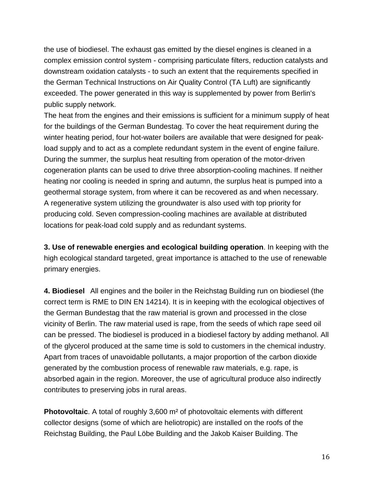the use of biodiesel. The exhaust gas emitted by the diesel engines is cleaned in a complex emission control system - comprising particulate filters, reduction catalysts and downstream oxidation catalysts - to such an extent that the requirements specified in the German Technical Instructions on Air Quality Control (TA Luft) are significantly exceeded. The power generated in this way is supplemented by power from Berlin's public supply network.

The heat from the engines and their emissions is sufficient for a minimum supply of heat for the buildings of the German Bundestag. To cover the heat requirement during the winter heating period, four hot-water boilers are available that were designed for peakload supply and to act as a complete redundant system in the event of engine failure. During the summer, the surplus heat resulting from operation of the motor-driven cogeneration plants can be used to drive three absorption-cooling machines. If neither heating nor cooling is needed in spring and autumn, the surplus heat is pumped into a geothermal storage system, from where it can be recovered as and when necessary. A regenerative system utilizing the groundwater is also used with top priority for producing cold. Seven compression-cooling machines are available at distributed locations for peak-load cold supply and as redundant systems.

**3. Use of renewable energies and ecological building operation**. In keeping with the high ecological standard targeted, great importance is attached to the use of renewable primary energies.

**4. Biodiesel** All engines and the boiler in the Reichstag Building run on biodiesel (the correct term is RME to DIN EN 14214). It is in keeping with the ecological objectives of the German Bundestag that the raw material is grown and processed in the close vicinity of Berlin. The raw material used is rape, from the seeds of which rape seed oil can be pressed. The biodiesel is produced in a biodiesel factory by adding methanol. All of the glycerol produced at the same time is sold to customers in the chemical industry. Apart from traces of unavoidable pollutants, a major proportion of the carbon dioxide generated by the combustion process of renewable raw materials, e.g. rape, is absorbed again in the region. Moreover, the use of agricultural produce also indirectly contributes to preserving jobs in rural areas.

**Photovoltaic**. A total of roughly 3,600 m² of photovoltaic elements with different collector designs (some of which are heliotropic) are installed on the roofs of the Reichstag Building, the Paul Löbe Building and the Jakob Kaiser Building. The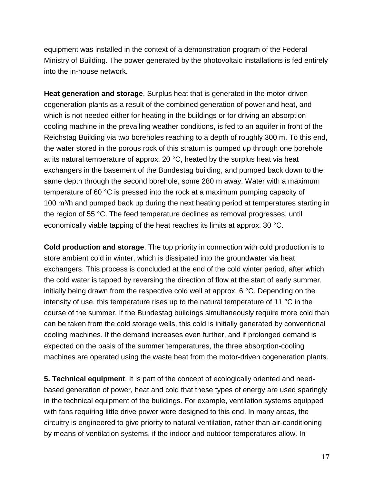equipment was installed in the context of a demonstration program of the Federal Ministry of Building. The power generated by the photovoltaic installations is fed entirely into the in-house network.

**Heat generation and storage**. Surplus heat that is generated in the motor-driven cogeneration plants as a result of the combined generation of power and heat, and which is not needed either for heating in the buildings or for driving an absorption cooling machine in the prevailing weather conditions, is fed to an aquifer in front of the Reichstag Building via two boreholes reaching to a depth of roughly 300 m. To this end, the water stored in the porous rock of this stratum is pumped up through one borehole at its natural temperature of approx. 20 °C, heated by the surplus heat via heat exchangers in the basement of the Bundestag building, and pumped back down to the same depth through the second borehole, some 280 m away. Water with a maximum temperature of 60 °C is pressed into the rock at a maximum pumping capacity of 100 m<sup>3</sup>/h and pumped back up during the next heating period at temperatures starting in the region of 55 °C. The feed temperature declines as removal progresses, until economically viable tapping of the heat reaches its limits at approx. 30 °C.

**Cold production and storage**. The top priority in connection with cold production is to store ambient cold in winter, which is dissipated into the groundwater via heat exchangers. This process is concluded at the end of the cold winter period, after which the cold water is tapped by reversing the direction of flow at the start of early summer, initially being drawn from the respective cold well at approx. 6 °C. Depending on the intensity of use, this temperature rises up to the natural temperature of 11  $^{\circ}$ C in the course of the summer. If the Bundestag buildings simultaneously require more cold than can be taken from the cold storage wells, this cold is initially generated by conventional cooling machines. If the demand increases even further, and if prolonged demand is expected on the basis of the summer temperatures, the three absorption-cooling machines are operated using the waste heat from the motor-driven cogeneration plants.

**5. Technical equipment**. It is part of the concept of ecologically oriented and needbased generation of power, heat and cold that these types of energy are used sparingly in the technical equipment of the buildings. For example, ventilation systems equipped with fans requiring little drive power were designed to this end. In many areas, the circuitry is engineered to give priority to natural ventilation, rather than air-conditioning by means of ventilation systems, if the indoor and outdoor temperatures allow. In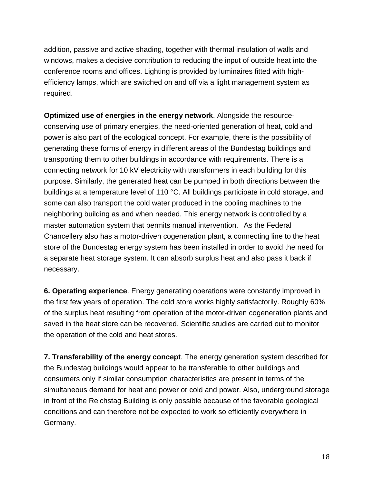addition, passive and active shading, together with thermal insulation of walls and windows, makes a decisive contribution to reducing the input of outside heat into the conference rooms and offices. Lighting is provided by luminaires fitted with highefficiency lamps, which are switched on and off via a light management system as required.

**Optimized use of energies in the energy network**. Alongside the resourceconserving use of primary energies, the need-oriented generation of heat, cold and power is also part of the ecological concept. For example, there is the possibility of generating these forms of energy in different areas of the Bundestag buildings and transporting them to other buildings in accordance with requirements. There is a connecting network for 10 kV electricity with transformers in each building for this purpose. Similarly, the generated heat can be pumped in both directions between the buildings at a temperature level of 110 °C. All buildings participate in cold storage, and some can also transport the cold water produced in the cooling machines to the neighboring building as and when needed. This energy network is controlled by a master automation system that permits manual intervention. As the Federal Chancellery also has a motor-driven cogeneration plant, a connecting line to the heat store of the Bundestag energy system has been installed in order to avoid the need for a separate heat storage system. It can absorb surplus heat and also pass it back if necessary.

**6. Operating experience**. Energy generating operations were constantly improved in the first few years of operation. The cold store works highly satisfactorily. Roughly 60% of the surplus heat resulting from operation of the motor-driven cogeneration plants and saved in the heat store can be recovered. Scientific studies are carried out to monitor the operation of the cold and heat stores.

**7. Transferability of the energy concept**. The energy generation system described for the Bundestag buildings would appear to be transferable to other buildings and consumers only if similar consumption characteristics are present in terms of the simultaneous demand for heat and power or cold and power. Also, underground storage in front of the Reichstag Building is only possible because of the favorable geological conditions and can therefore not be expected to work so efficiently everywhere in Germany.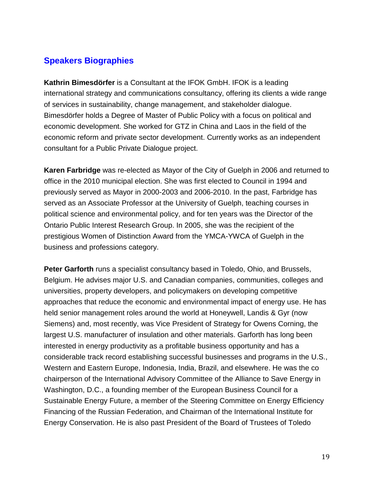# **Speakers Biographies**

**Kathrin Bimesdörfer** is a Consultant at the IFOK GmbH. IFOK is a leading international strategy and communications consultancy, offering its clients a wide range of services in sustainability, change management, and stakeholder dialogue. Bimesdörfer holds a Degree of Master of Public Policy with a focus on political and economic development. She worked for GTZ in China and Laos in the field of the economic reform and private sector development. Currently works as an independent consultant for a Public Private Dialogue project.

**Karen Farbridge** was re-elected as Mayor of the City of Guelph in 2006 and returned to office in the 2010 municipal election. She was first elected to Council in 1994 and previously served as Mayor in 2000-2003 and 2006-2010. In the past, Farbridge has served as an Associate Professor at the University of Guelph, teaching courses in political science and environmental policy, and for ten years was the Director of the Ontario Public Interest Research Group. In 2005, she was the recipient of the prestigious Women of Distinction Award from the YMCA-YWCA of Guelph in the business and professions category.

**Peter Garforth** runs a specialist consultancy based in Toledo, Ohio, and Brussels, Belgium. He advises major U.S. and Canadian companies, communities, colleges and universities, property developers, and policymakers on developing competitive approaches that reduce the economic and environmental impact of energy use. He has held senior management roles around the world at Honeywell, Landis & Gyr (now Siemens) and, most recently, was Vice President of Strategy for Owens Corning, the largest U.S. manufacturer of insulation and other materials. Garforth has long been interested in energy productivity as a profitable business opportunity and has a considerable track record establishing successful businesses and programs in the U.S., Western and Eastern Europe, Indonesia, India, Brazil, and elsewhere. He was the co chairperson of the International Advisory Committee of the Alliance to Save Energy in Washington, D.C., a founding member of the European Business Council for a Sustainable Energy Future, a member of the Steering Committee on Energy Efficiency Financing of the Russian Federation, and Chairman of the International Institute for Energy Conservation. He is also past President of the Board of Trustees of Toledo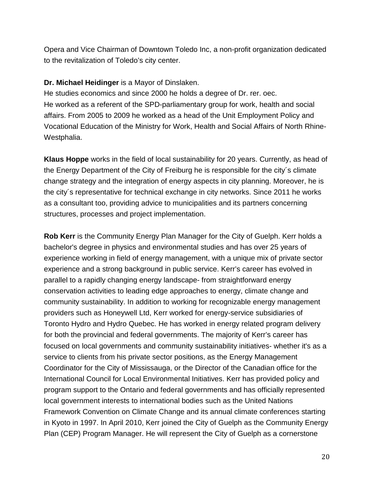Opera and Vice Chairman of Downtown Toledo Inc, a non-profit organization dedicated to the revitalization of Toledo's city center.

### **Dr. Michael Heidinger** is a Mayor of Dinslaken.

He studies economics and since 2000 he holds a degree of Dr. rer. oec. He worked as a referent of the SPD-parliamentary group for work, health and social affairs. From 2005 to 2009 he worked as a head of the Unit Employment Policy and Vocational Education of the Ministry for Work, Health and Social Affairs of North Rhine-Westphalia.

**Klaus Hoppe** works in the field of local sustainability for 20 years. Currently, as head of the Energy Department of the City of Freiburg he is responsible for the city´s climate change strategy and the integration of energy aspects in city planning. Moreover, he is the city´s representative for technical exchange in city networks. Since 2011 he works as a consultant too, providing advice to municipalities and its partners concerning structures, processes and project implementation.

**Rob Kerr** is the Community Energy Plan Manager for the City of Guelph. Kerr holds a bachelor's degree in physics and environmental studies and has over 25 years of experience working in field of energy management, with a unique mix of private sector experience and a strong background in public service. Kerr's career has evolved in parallel to a rapidly changing energy landscape- from straightforward energy conservation activities to leading edge approaches to energy, climate change and community sustainability. In addition to working for recognizable energy management providers such as Honeywell Ltd, Kerr worked for energy-service subsidiaries of Toronto Hydro and Hydro Quebec. He has worked in energy related program delivery for both the provincial and federal governments. The majority of Kerr's career has focused on local governments and community sustainability initiatives- whether it's as a service to clients from his private sector positions, as the Energy Management Coordinator for the City of Mississauga, or the Director of the Canadian office for the International Council for Local Environmental Initiatives. Kerr has provided policy and program support to the Ontario and federal governments and has officially represented local government interests to international bodies such as the United Nations Framework Convention on Climate Change and its annual climate conferences starting in Kyoto in 1997. In April 2010, Kerr joined the City of Guelph as the Community Energy Plan (CEP) Program Manager. He will represent the City of Guelph as a cornerstone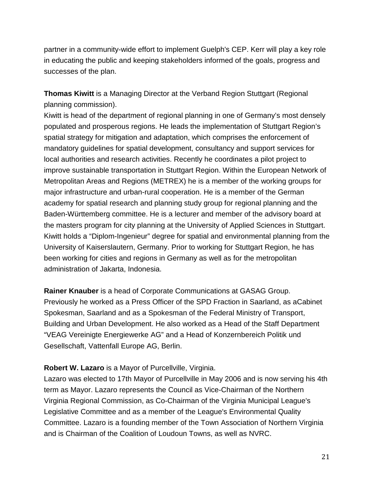partner in a community-wide effort to implement Guelph's CEP. Kerr will play a key role in educating the public and keeping stakeholders informed of the goals, progress and successes of the plan.

**Thomas Kiwitt** is a Managing Director at the Verband Region Stuttgart (Regional planning commission).

Kiwitt is head of the department of regional planning in one of Germany's most densely populated and prosperous regions. He leads the implementation of Stuttgart Region's spatial strategy for mitigation and adaptation, which comprises the enforcement of mandatory guidelines for spatial development, consultancy and support services for local authorities and research activities. Recently he coordinates a pilot project to improve sustainable transportation in Stuttgart Region. Within the European Network of Metropolitan Areas and Regions (METREX) he is a member of the working groups for major infrastructure and urban-rural cooperation. He is a member of the German academy for spatial research and planning study group for regional planning and the Baden-Württemberg committee. He is a lecturer and member of the advisory board at the masters program for city planning at the University of Applied Sciences in Stuttgart. Kiwitt holds a "Diplom-Ingenieur" degree for spatial and environmental planning from the University of Kaiserslautern, Germany. Prior to working for Stuttgart Region, he has been working for cities and regions in Germany as well as for the metropolitan administration of Jakarta, Indonesia.

**Rainer Knauber** is a head of Corporate Communications at GASAG Group. Previously he worked as a Press Officer of the SPD Fraction in Saarland, as aCabinet Spokesman, Saarland and as a Spokesman of the Federal Ministry of Transport, Building and Urban Development. He also worked as a Head of the Staff Department "VEAG Vereinigte Energiewerke AG" and a Head of Konzernbereich Politik und Gesellschaft, Vattenfall Europe AG, Berlin.

### **Robert W. Lazaro** is a Mayor of Purcellville, Virginia.

Lazaro was elected to 17th Mayor of Purcellville in May 2006 and is now serving his 4th term as Mayor. Lazaro represents the Council as Vice-Chairman of the Northern Virginia Regional Commission, as Co-Chairman of the Virginia Municipal League's Legislative Committee and as a member of the League's Environmental Quality Committee. Lazaro is a founding member of the Town Association of Northern Virginia and is Chairman of the Coalition of Loudoun Towns, as well as NVRC.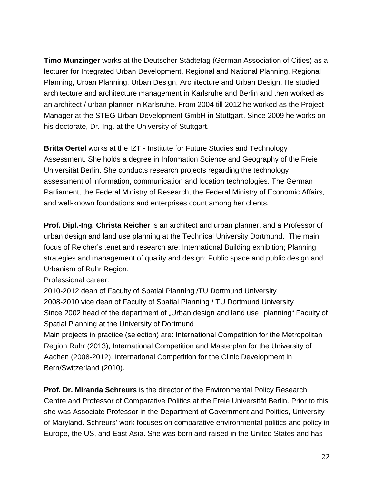**Timo Munzinger** works at the Deutscher Städtetag (German Association of Cities) as a lecturer for Integrated Urban Development, Regional and National Planning, Regional Planning, Urban Planning, Urban Design, Architecture and Urban Design. He studied architecture and architecture management in Karlsruhe and Berlin and then worked as an architect / urban planner in Karlsruhe. From 2004 till 2012 he worked as the Project Manager at the STEG Urban Development GmbH in Stuttgart. Since 2009 he works on his doctorate, Dr.-Ing. at the University of Stuttgart.

**Britta Oertel** works at the IZT - Institute for Future Studies and Technology Assessment. She holds a degree in Information Science and Geography of the Freie Universität Berlin. She conducts research projects regarding the technology assessment of information, communication and location technologies. The German Parliament, the Federal Ministry of Research, the Federal Ministry of Economic Affairs, and well-known foundations and enterprises count among her clients.

**Prof. Dipl.-Ing. Christa Reicher** is an architect and urban planner, and a Professor of urban design and land use planning at the Technical University Dortmund. The main focus of Reicher's tenet and research are: International Building exhibition; Planning strategies and management of quality and design; Public space and public design and Urbanism of Ruhr Region.

Professional career:

2010-2012 dean of Faculty of Spatial Planning /TU Dortmund University 2008-2010 vice dean of Faculty of Spatial Planning / TU Dortmund University Since 2002 head of the department of "Urban design and land use planning" Faculty of Spatial Planning at the University of Dortmund

Main projects in practice (selection) are: International Competition for the Metropolitan Region Ruhr (2013), International Competition and Masterplan for the University of Aachen (2008-2012), International Competition for the Clinic Development in Bern/Switzerland (2010).

**Prof. Dr. Miranda Schreurs** is the director of the Environmental Policy Research Centre and Professor of Comparative Politics at the Freie Universität Berlin. Prior to this she was Associate Professor in the Department of Government and Politics, University of Maryland. Schreurs' work focuses on comparative environmental politics and policy in Europe, the US, and East Asia. She was born and raised in the United States and has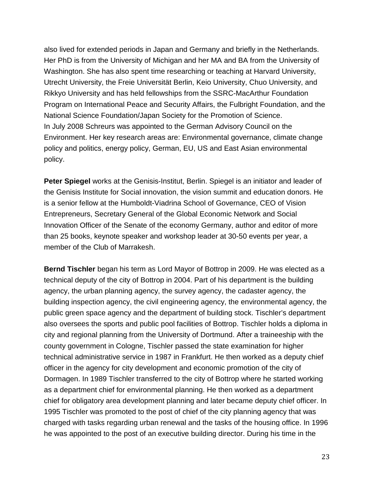also lived for extended periods in Japan and Germany and briefly in the Netherlands. Her PhD is from the University of Michigan and her MA and BA from the University of Washington. She has also spent time researching or teaching at Harvard University, Utrecht University, the Freie Universität Berlin, Keio University, Chuo University, and Rikkyo University and has held fellowships from the SSRC-MacArthur Foundation Program on International Peace and Security Affairs, the Fulbright Foundation, and the National Science Foundation/Japan Society for the Promotion of Science. In July 2008 Schreurs was appointed to the German Advisory Council on the Environment. Her key research areas are: Environmental governance, climate change policy and politics, energy policy, German, EU, US and East Asian environmental policy.

**Peter Spiegel** works at the Genisis-Institut, Berlin. Spiegel is an initiator and leader of the Genisis Institute for Social innovation, the vision summit and education donors. He is a senior fellow at the Humboldt-Viadrina School of Governance, CEO of Vision Entrepreneurs, Secretary General of the Global Economic Network and Social Innovation Officer of the Senate of the economy Germany, author and editor of more than 25 books, keynote speaker and workshop leader at 30-50 events per year, a member of the Club of Marrakesh.

**Bernd Tischler** began his term as Lord Mayor of Bottrop in 2009. He was elected as a technical deputy of the city of Bottrop in 2004. Part of his department is the building agency, the urban planning agency, the survey agency, the cadaster agency, the building inspection agency, the civil engineering agency, the environmental agency, the public green space agency and the department of building stock. Tischler's department also oversees the sports and public pool facilities of Bottrop. Tischler holds a diploma in city and regional planning from the University of Dortmund. After a traineeship with the county government in Cologne, Tischler passed the state examination for higher technical administrative service in 1987 in Frankfurt. He then worked as a deputy chief officer in the agency for city development and economic promotion of the city of Dormagen. In 1989 Tischler transferred to the city of Bottrop where he started working as a department chief for environmental planning. He then worked as a department chief for obligatory area development planning and later became deputy chief officer. In 1995 Tischler was promoted to the post of chief of the city planning agency that was charged with tasks regarding urban renewal and the tasks of the housing office. In 1996 he was appointed to the post of an executive building director. During his time in the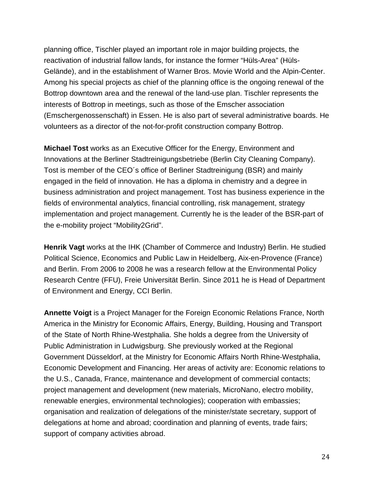planning office, Tischler played an important role in major building projects, the reactivation of industrial fallow lands, for instance the former "Hüls-Area" (Hüls-Gelände), and in the establishment of Warner Bros. Movie World and the Alpin-Center. Among his special projects as chief of the planning office is the ongoing renewal of the Bottrop downtown area and the renewal of the land-use plan. Tischler represents the interests of Bottrop in meetings, such as those of the Emscher association (Emschergenossenschaft) in Essen. He is also part of several administrative boards. He volunteers as a director of the not-for-profit construction company Bottrop.

**Michael Tost** works as an Executive Officer for the Energy, Environment and Innovations at the Berliner Stadtreinigungsbetriebe (Berlin City Cleaning Company). Tost is member of the CEO´s office of Berliner Stadtreinigung (BSR) and mainly engaged in the field of innovation. He has a diploma in chemistry and a degree in business administration and project management. Tost has business experience in the fields of environmental analytics, financial controlling, risk management, strategy implementation and project management. Currently he is the leader of the BSR-part of the e-mobility project "Mobility2Grid".

**Henrik Vagt** works at the IHK (Chamber of Commerce and Industry) Berlin. He studied Political Science, Economics and Public Law in Heidelberg, Aix-en-Provence (France) and Berlin. From 2006 to 2008 he was a research fellow at the Environmental Policy Research Centre (FFU), Freie Universität Berlin. Since 2011 he is Head of Department of Environment and Energy, CCI Berlin.

**Annette Voigt** is a Project Manager for the Foreign Economic Relations France, North America in the Ministry for Economic Affairs, Energy, Building, Housing and Transport of the State of North Rhine-Westphalia. She holds a degree from the University of Public Administration in Ludwigsburg. She previously worked at the Regional Government Düsseldorf, at the Ministry for Economic Affairs North Rhine-Westphalia, Economic Development and Financing. Her areas of activity are: Economic relations to the U.S., Canada, France, maintenance and development of commercial contacts; project management and development (new materials, MicroNano, electro mobility, renewable energies, environmental technologies); cooperation with embassies; organisation and realization of delegations of the minister/state secretary, support of delegations at home and abroad; coordination and planning of events, trade fairs; support of company activities abroad.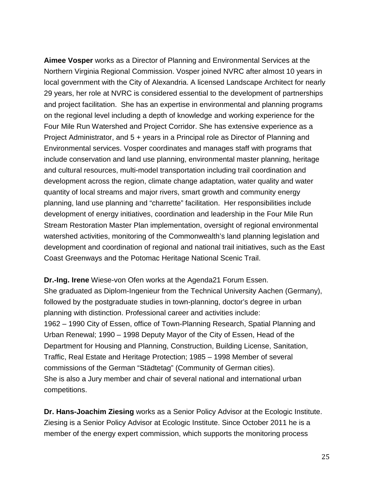**Aimee Vosper** works as a Director of Planning and Environmental Services at the Northern Virginia Regional Commission. Vosper joined NVRC after almost 10 years in local government with the City of Alexandria. A licensed Landscape Architect for nearly 29 years, her role at NVRC is considered essential to the development of partnerships and project facilitation. She has an expertise in environmental and planning programs on the regional level including a depth of knowledge and working experience for the Four Mile Run Watershed and Project Corridor. She has extensive experience as a Project Administrator, and 5 + years in a Principal role as Director of Planning and Environmental services. Vosper coordinates and manages staff with programs that include conservation and land use planning, environmental master planning, heritage and cultural resources, multi-model transportation including trail coordination and development across the region, climate change adaptation, water quality and water quantity of local streams and major rivers, smart growth and community energy planning, land use planning and "charrette" facilitation. Her responsibilities include development of energy initiatives, coordination and leadership in the Four Mile Run Stream Restoration Master Plan implementation, oversight of regional environmental watershed activities, monitoring of the Commonwealth's land planning legislation and development and coordination of regional and national trail initiatives, such as the East Coast Greenways and the Potomac Heritage National Scenic Trail.

**Dr.-Ing. Irene** Wiese-von Ofen works at the Agenda21 Forum Essen. She graduated as Diplom-Ingenieur from the Technical University Aachen (Germany), followed by the postgraduate studies in town-planning, doctor's degree in urban planning with distinction. Professional career and activities include: 1962 – 1990 City of Essen, office of Town-Planning Research, Spatial Planning and Urban Renewal; 1990 – 1998 Deputy Mayor of the City of Essen, Head of the Department for Housing and Planning, Construction, Building License, Sanitation, Traffic, Real Estate and Heritage Protection; 1985 – 1998 Member of several commissions of the German "Städtetag" (Community of German cities). She is also a Jury member and chair of several national and international urban competitions.

**Dr. Hans-Joachim Ziesing** works as a Senior Policy Advisor at the Ecologic Institute. Ziesing is a Senior Policy Advisor at Ecologic Institute. Since October 2011 he is a member of the energy expert commission, which supports the monitoring process